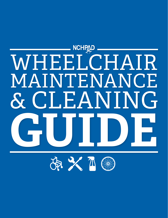# WHEEL CHAIR MAINTENANCE & CLEANING CONSTRUCTED

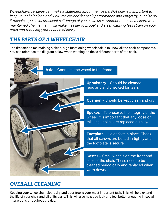*Wheelchairs certainly can make a statement about their users. Not only is it important to keep your chair clean and well- maintained for peak performance and longevity, but also so it reflects a positive, proficient self-image of you as its user. Another bonus of a clean, wellmaintained chair is that it will make it easier to propel and steer, causing less strain on your arms and reducing your chance of injury.*

## *THE PARTS OF A WHEELCHAIR*

The first step to maintaining a clean, high functioning wheelchair is to know all the chair components. You can reference the diagram below when working on these different parts of the chair.



# *OVERALL CLEANING*

Keeping your wheelchair clean, dry and odor free is your most important task. This will help extend the life of your chair and all of its parts. This will also help you look and feel better engaging in social interactions throughout the day.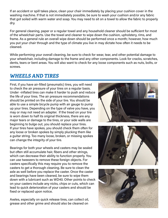If an accident or spill takes place, clean your chair immediately by placing your cushion cover in the washing machine. If that is not immediately possible, be sure to wash your cushion and/or any fabric that got soiled with warm water and soap. You may need to sit on a towel to allow the fabric to properly dry.

For general cleaning, paper or a regular towel and any household cleaner should be sufficient for most of the wheelchair parts. Use the towel and cleaner to wipe down the cushion, upholstery, rims, and frame. As a general rule an overall wipe down should be performed once a month; however, how much you put your chair through and the type of climate you live in may dictate how often it needs to be cleaned.

While performing your overall cleaning, be sure to check for wear, tear, and other potential damage to your wheelchair, including damage to the frame and any other components. Look for cracks, scratches, dents, tears or bent areas. You will also want to check for any loose components such as nuts, bolts, or screws.

## *WHEELS AND TIRES*

First, if you have air-filled (pneumatic) tires, you will need to check the air pressure of your tires on a regular basis. Under -inflated tires can make it harder to push and reduce the life of your tires. The air pressure recommendations should be printed on the side of your tire. You should be able to use a simple bicycle pump with air gauge to pump up your tires. Depending on the type of valve you have, you may or may not need an adapter. If the tread on your tire is worn down to half its original thickness, there are any major tears or damage to the tires, or your side walls are beginning to bulge out, you should replace your tires. If your tires have spokes, you should check them often for any loose or broken spokes by simply plucking them like a guitar string. Too many loose, broken, or missing spokes can change the integrity of your tire.

Bearings for both your wheels and casters may be sealed but often still accumulate hair, fibers and other strings, which can decrease their ability to function properly. You can use tweezers to remove these foreign objects. For casters specifically this may require you to remove the casters to get a thorough cleaning. Be sure to clean the axle as well before you replace the caster. Once the caster and bearings have been cleaned, be sure to wipe them down with a lubricant such as WD40. Other points to check on your casters include any nicks, chips or cuts, which can lead to quick deterioration of your casters and should be fixed or replaced upon notice.

Axeles, especially on quick release tires, can collect oil, grease and other grime and should also be cleaned on